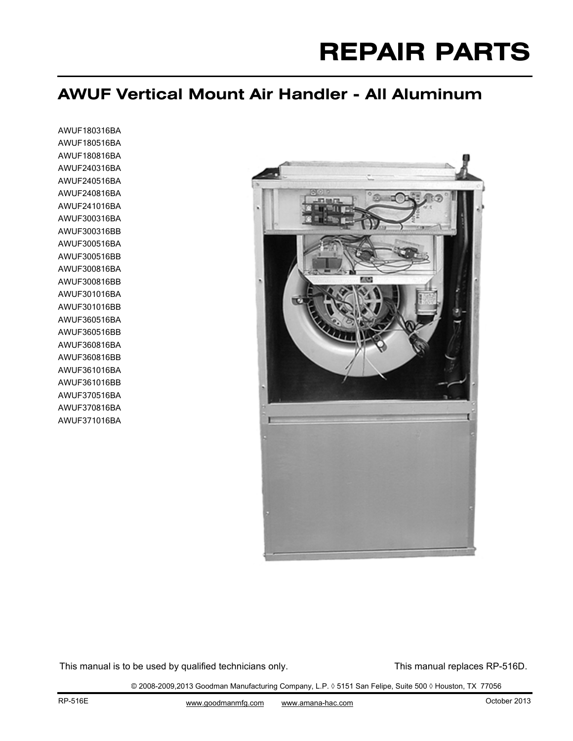# **REPAIR PARTS**

## **AWUF Vertical Mount Air Handler - All Aluminum**

AWUF180316BA AWUF180516BA AWUF180816BA AWUF240316BA AWUF240516BA AWUF240816BA AWUF241016BA AWUF300316BA AWUF300316BB AWUF300516BA AWUF300516BB AWUF300816BA AWUF300816BB AWUF301016BA AWUF301016BB AWUF360516BA AWUF360516BB AWUF360816BA AWUF360816BB AWUF361016BA AWUF361016BB AWUF370516BA AWUF370816BA AWUF371016BA



This manual is to be used by qualified technicians only. This manual replaces RP-516D.

© 2008-2009,2013 Goodman Manufacturing Company, L.P. ◊ 5151 San Felipe, Suite 500 ◊ Houston, TX 77056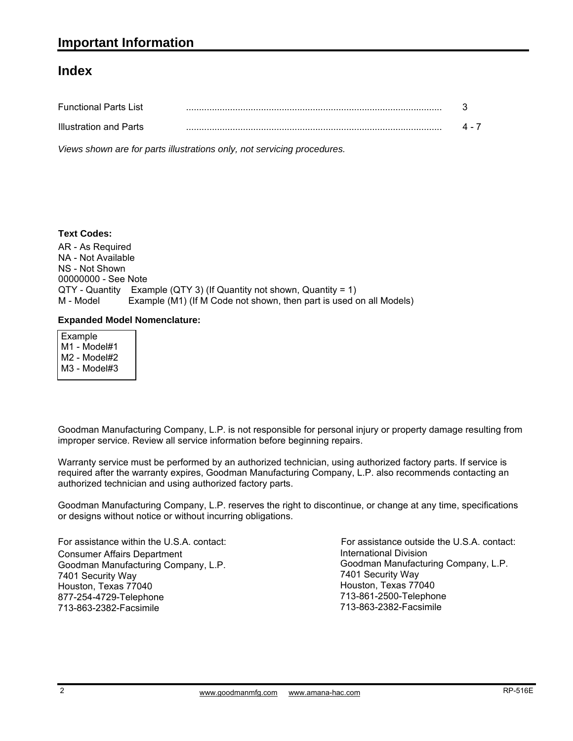#### **Index**

| <b>Functional Parts List</b> |  |
|------------------------------|--|
| Illustration and Parts       |  |

*Views shown are for parts illustrations only, not servicing procedures.*

#### **Text Codes:**

AR - As Required NA - Not Available NS - Not Shown 00000000 - See Note QTY - Quantity Example (QTY 3) (If Quantity not shown, Quantity = 1) M - Model Example (M1) (If M Code not shown, then part is used on all Models)

#### **Expanded Model Nomenclature:**

 Example M1 - Model#1 M2 - Model#2 M3 - Model#3

Goodman Manufacturing Company, L.P. is not responsible for personal injury or property damage resulting from improper service. Review all service information before beginning repairs.

Warranty service must be performed by an authorized technician, using authorized factory parts. If service is required after the warranty expires, Goodman Manufacturing Company, L.P. also recommends contacting an authorized technician and using authorized factory parts.

Goodman Manufacturing Company, L.P. reserves the right to discontinue, or change at any time, specifications or designs without notice or without incurring obligations.

For assistance within the U.S.A. contact: Consumer Affairs Department Goodman Manufacturing Company, L.P. 7401 Security Way Houston, Texas 77040 877-254-4729-Telephone 713-863-2382-Facsimile

International Division International Division<br>Goodman Manufacturing Company, L.P. 7401 Security Way Houston, Texas 77040 713-861-2500-Telephone 713-863-2382-Facsimile For assistance outside the U.S.A. contact: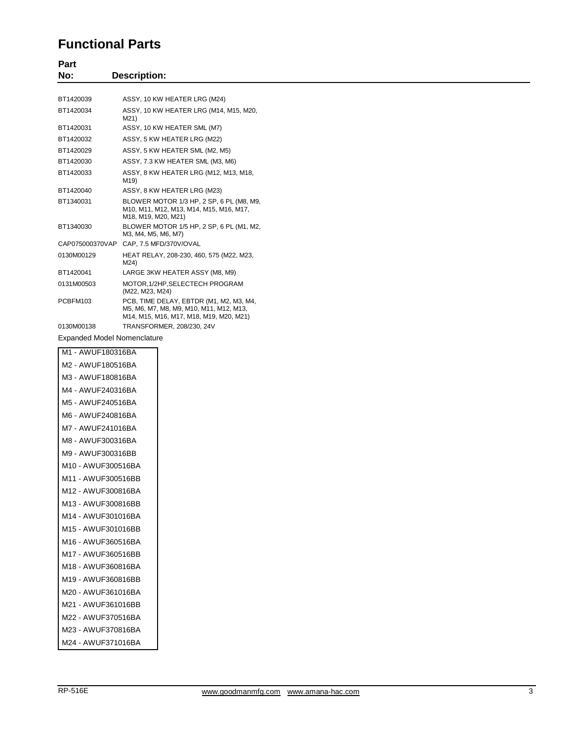#### **Functional Parts**

| Part                               |                                                                                                                               |
|------------------------------------|-------------------------------------------------------------------------------------------------------------------------------|
| No:                                | <b>Description:</b>                                                                                                           |
|                                    |                                                                                                                               |
| BT1420039                          | ASSY, 10 KW HEATER LRG (M24)                                                                                                  |
| BT1420034                          | ASSY, 10 KW HEATER LRG (M14, M15, M20,<br>M21)                                                                                |
| BT1420031                          | ASSY, 10 KW HEATER SML (M7)                                                                                                   |
| BT1420032                          | ASSY, 5 KW HEATER LRG (M22)                                                                                                   |
| BT1420029                          | ASSY, 5 KW HEATER SML (M2, M5)                                                                                                |
| BT1420030                          | ASSY, 7.3 KW HEATER SML (M3, M6)                                                                                              |
| BT1420033                          | ASSY, 8 KW HEATER LRG (M12, M13, M18,<br>M19)                                                                                 |
| BT1420040                          | ASSY, 8 KW HEATER LRG (M23)                                                                                                   |
| BT1340031                          | BLOWER MOTOR 1/3 HP, 2 SP, 6 PL (M8, M9,<br>M10, M11, M12, M13, M14, M15, M16, M17,<br>M18, M19, M20, M21)                    |
| BT1340030                          | BLOWER MOTOR 1/5 HP, 2 SP, 6 PL (M1, M2,<br>M3, M4, M5, M6, M7)                                                               |
| CAP075000370VAP                    | CAP, 7.5 MFD/370V/OVAL                                                                                                        |
| 0130M00129                         | HEAT RELAY, 208-230, 460, 575 (M22, M23,<br>M24)                                                                              |
| BT1420041                          | LARGE 3KW HEATER ASSY (M8, M9)                                                                                                |
| 0131M00503                         | MOTOR, 1/2HP, SELECTECH PROGRAM<br>(M22, M23, M24)                                                                            |
| PCBFM103                           | PCB, TIME DELAY, EBTDR (M1, M2, M3, M4,<br>M5, M6, M7, M8, M9, M10, M11, M12, M13,<br>M14, M15, M16, M17, M18, M19, M20, M21) |
| 0130M00138                         | TRANSFORMER, 208/230, 24V                                                                                                     |
| <b>Expanded Model Nomenclature</b> |                                                                                                                               |

| M1 - AWUF180316BA  |
|--------------------|
| M2 - AWUF180516BA  |
| M3 - AWUF180816BA  |
| M4 - AWUF240316BA  |
| M5 - AWUF240516BA  |
| M6 - AWUF240816BA  |
| M7 - AWUF241016BA  |
| M8 - AWUF300316BA  |
| M9 - AWUF300316BB  |
| M10 - AWUF300516BA |
| M11 - AWUF300516BB |
| M12 - AWUF300816BA |
| M13 - AWUF300816BB |
| M14 - AWUF301016BA |
| M15 - AWUF301016BB |
| M16 - AWUF360516BA |
| M17 - AWUF360516BB |
| M18 - AWUF360816BA |
| M19 - AWUF360816BB |
| M20 - AWUF361016BA |
| M21 - AWUF361016BB |
| M22 - AWUF370516BA |
| M23 - AWUF370816BA |
| M24 - AWUF371016BA |
|                    |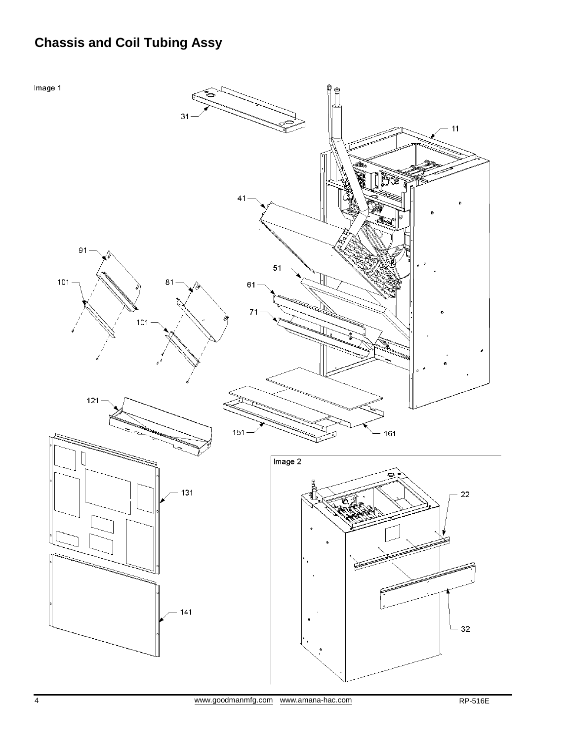# **Chassis and Coil Tubing Assy**

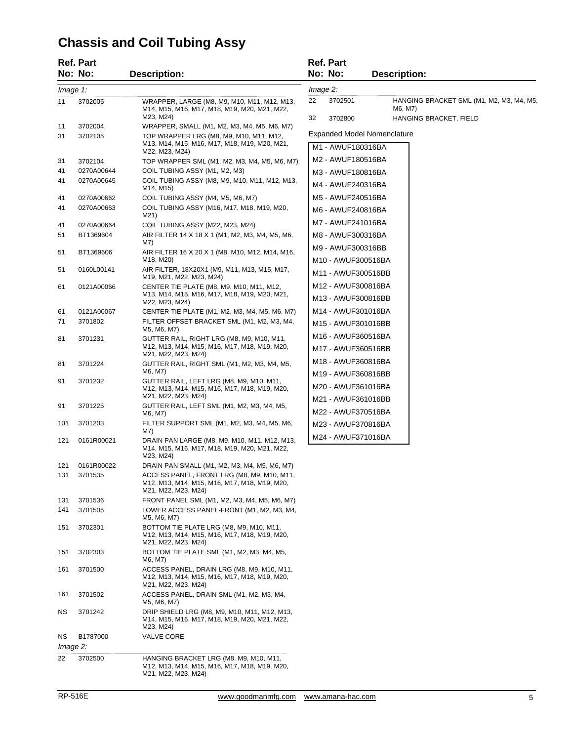# **Chassis and Coil Tubing Assy**

|          | Ref. Part          |                                                                                                                   |          | <b>Ref. Part</b>                         |                                                     |
|----------|--------------------|-------------------------------------------------------------------------------------------------------------------|----------|------------------------------------------|-----------------------------------------------------|
|          | No: No:            | <b>Description:</b>                                                                                               |          | No: No:                                  | <b>Description:</b>                                 |
| Image 1: |                    |                                                                                                                   | Image 2: |                                          |                                                     |
| 11       | 3702005            | WRAPPER, LARGE (M8, M9, M10, M11, M12, M13,<br>M14, M15, M16, M17, M18, M19, M20, M21, M22,                       | 22       | 3702501                                  | HANGING BRACKET SML (M1, M2, M3, M4, M5,<br>M6, M7) |
|          |                    | M23, M24)                                                                                                         | 32       | 3702800                                  | HANGING BRACKET, FIELD                              |
| 11<br>31 | 3702004<br>3702105 | WRAPPER, SMALL (M1, M2, M3, M4, M5, M6, M7)<br>TOP WRAPPER LRG (M8, M9, M10, M11, M12,                            |          | <b>Expanded Model Nomenclature</b>       |                                                     |
|          |                    | M13, M14, M15, M16, M17, M18, M19, M20, M21,                                                                      |          | M1 - AWUF180316BA                        |                                                     |
| 31       | 3702104            | M22, M23, M24)<br>TOP WRAPPER SML (M1, M2, M3, M4, M5, M6, M7)                                                    |          | M2 - AWUF180516BA                        |                                                     |
| 41       | 0270A00644         | COIL TUBING ASSY (M1, M2, M3)                                                                                     |          | M3 - AWUF180816BA                        |                                                     |
| 41       | 0270A00645         | COIL TUBING ASSY (M8, M9, M10, M11, M12, M13,<br>M14, M15)                                                        |          | M4 - AWUF240316BA                        |                                                     |
| 41       | 0270A00662         | COIL TUBING ASSY (M4, M5, M6, M7)                                                                                 |          | M5 - AWUF240516BA                        |                                                     |
| 41       | 0270A00663         | COIL TUBING ASSY (M16, M17, M18, M19, M20,<br>M21)                                                                |          | M6 - AWUF240816BA                        |                                                     |
| 41       | 0270A00664         | COIL TUBING ASSY (M22, M23, M24)                                                                                  |          | M7 - AWUF241016BA                        |                                                     |
| 51       | BT1369604          | AIR FILTER 14 X 18 X 1 (M1, M2, M3, M4, M5, M6,<br>M7)                                                            |          | M8 - AWUF300316BA                        |                                                     |
| 51       | BT1369606          | AIR FILTER 16 X 20 X 1 (M8, M10, M12, M14, M16,                                                                   |          | M9 - AWUF300316BB                        |                                                     |
|          |                    | M18, M20)                                                                                                         |          | M10 - AWUF300516BA                       |                                                     |
| 51       | 0160L00141         | AIR FILTER, 18X20X1 (M9, M11, M13, M15, M17,<br>M19, M21, M22, M23, M24)                                          |          | M11 - AWUF300516BB                       |                                                     |
| 61       | 0121A00066         | CENTER TIE PLATE (M8, M9, M10, M11, M12,                                                                          |          | M12 - AWUF300816BA                       |                                                     |
|          |                    | M13, M14, M15, M16, M17, M18, M19, M20, M21,<br>M22, M23, M24)                                                    |          | M13 - AWUF300816BB                       |                                                     |
| 61       | 0121A00067         | CENTER TIE PLATE (M1, M2, M3, M4, M5, M6, M7)                                                                     |          | M14 - AWUF301016BA                       |                                                     |
| 71       | 3701802            | FILTER OFFSET BRACKET SML (M1, M2, M3, M4,<br>M5, M6, M7)                                                         |          | M15 - AWUF301016BB                       |                                                     |
| 81       | 3701231            | GUTTER RAIL, RIGHT LRG (M8, M9, M10, M11,                                                                         |          | M16 - AWUF360516BA                       |                                                     |
|          |                    | M12, M13, M14, M15, M16, M17, M18, M19, M20,<br>M21, M22, M23, M24)                                               |          | M17 - AWUF360516BB                       |                                                     |
| 81       | 3701224            | GUTTER RAIL, RIGHT SML (M1, M2, M3, M4, M5,<br>M6, M7)                                                            |          | M18 - AWUF360816BA                       |                                                     |
| 91       | 3701232            | GUTTER RAIL, LEFT LRG (M8, M9, M10, M11,                                                                          |          | M19 - AWUF360816BB                       |                                                     |
|          |                    | M12, M13, M14, M15, M16, M17, M18, M19, M20,<br>M21, M22, M23, M24)                                               |          | M20 - AWUF361016BA                       |                                                     |
| 91       | 3701225            | GUTTER RAIL, LEFT SML (M1, M2, M3, M4, M5,<br>M6, M7)                                                             |          | M21 - AWUF361016BB<br>M22 - AWUF370516BA |                                                     |
| 101      | 3701203            | FILTER SUPPORT SML (M1, M2, M3, M4, M5, M6,<br>M7)                                                                |          | M23 - AWUF370816BA                       |                                                     |
| 121      | 0161R00021         | DRAIN PAN LARGE (M8, M9, M10, M11, M12, M13,<br>M14, M15, M16, M17, M18, M19, M20, M21, M22,<br>M23, M24)         |          | M24 - AWUF371016BA                       |                                                     |
| 121      | 0161R00022         | DRAIN PAN SMALL (M1, M2, M3, M4, M5, M6, M7)                                                                      |          |                                          |                                                     |
| 131      | 3701535            | ACCESS PANEL, FRONT LRG (M8, M9, M10, M11,<br>M12, M13, M14, M15, M16, M17, M18, M19, M20,<br>M21, M22, M23, M24) |          |                                          |                                                     |
| 131      | 3701536            | FRONT PANEL SML (M1, M2, M3, M4, M5, M6, M7)                                                                      |          |                                          |                                                     |
| 141      | 3701505            | LOWER ACCESS PANEL-FRONT (M1, M2, M3, M4,<br>M5, M6, M7)                                                          |          |                                          |                                                     |
| 151      | 3702301            | BOTTOM TIE PLATE LRG (M8, M9, M10, M11,<br>M12, M13, M14, M15, M16, M17, M18, M19, M20,<br>M21, M22, M23, M24)    |          |                                          |                                                     |
| 151      | 3702303            | BOTTOM TIE PLATE SML (M1, M2, M3, M4, M5,<br>M6, M7)                                                              |          |                                          |                                                     |
| 161      | 3701500            | ACCESS PANEL, DRAIN LRG (M8, M9, M10, M11,<br>M12, M13, M14, M15, M16, M17, M18, M19, M20,<br>M21, M22, M23, M24) |          |                                          |                                                     |
| 161      | 3701502            | ACCESS PANEL, DRAIN SML (M1, M2, M3, M4,<br>M5, M6, M7)                                                           |          |                                          |                                                     |
| ΝS       | 3701242            | DRIP SHIELD LRG (M8, M9, M10, M11, M12, M13,<br>M14, M15, M16, M17, M18, M19, M20, M21, M22,<br>M23, M24)         |          |                                          |                                                     |
| ΝS       | B1787000           | <b>VALVE CORE</b>                                                                                                 |          |                                          |                                                     |
| Image 2: |                    |                                                                                                                   |          |                                          |                                                     |
| 22       | 3702500            | HANGING BRACKET LRG (M8, M9, M10, M11,<br>M12, M13, M14, M15, M16, M17, M18, M19, M20,<br>M21, M22, M23, M24)     |          |                                          |                                                     |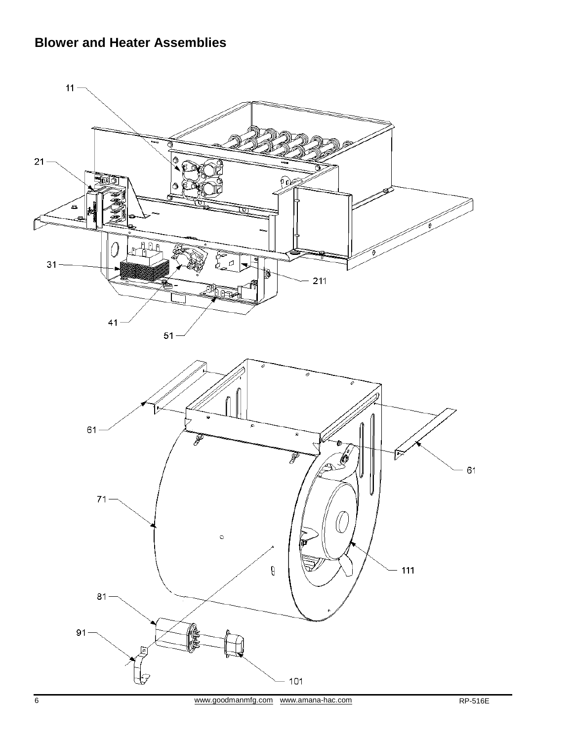## **Blower and Heater Assemblies**